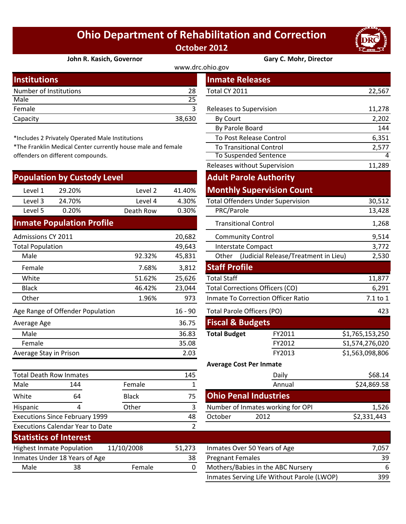## **Ohio Department of Rehabilitation and Correction October 2012**



## **John R. Kasich, Governor Gary C. Mohr, Director**

| <b>Institutions</b>    |        | <b>Inmate Releases</b>  |        |  |  |  |
|------------------------|--------|-------------------------|--------|--|--|--|
| Number of Institutions | 28     | Total CY 2011           | 22,567 |  |  |  |
| Male                   | 25     |                         |        |  |  |  |
| Female                 |        | Releases to Supervision | 11,278 |  |  |  |
| Capacity               | 38,630 | By Court                | 2,202  |  |  |  |
|                        |        |                         |        |  |  |  |

\*Includes 2 Privately Operated Male Institutions

\*The Franklin Medical Center currently house male and female offenders on different compounds.

|                                               | <b>Population by Custody Level</b> |                                   |        | <b>Adult Parole Authority</b>                       |                                          |                 |
|-----------------------------------------------|------------------------------------|-----------------------------------|--------|-----------------------------------------------------|------------------------------------------|-----------------|
| Level 1                                       | 29.20%                             | Level 2                           | 41.40% |                                                     | <b>Monthly Supervision Count</b>         |                 |
| Level 3                                       | 24.70%                             | Level 4                           | 4.30%  |                                                     | <b>Total Offenders Under Supervision</b> | 30,512          |
| Level 5                                       | 0.20%                              | Death Row                         | 0.30%  | PRC/Parole                                          |                                          | 13,428          |
|                                               | <b>Inmate Population Profile</b>   |                                   |        | <b>Transitional Control</b>                         |                                          | 1,268           |
| Admissions CY 2011<br>20,682                  |                                    |                                   |        | <b>Community Control</b>                            |                                          | 9,514           |
| <b>Total Population</b>                       |                                    |                                   | 49,643 | <b>Interstate Compact</b>                           |                                          | 3,772           |
| Male                                          |                                    | 92.32%                            | 45,831 | Other (Judicial Release/Treatment in Lieu)<br>2,530 |                                          |                 |
| Female                                        |                                    | 7.68%                             | 3,812  | <b>Staff Profile</b>                                |                                          |                 |
| White                                         |                                    | 51.62%                            | 25,626 | <b>Total Staff</b><br>11,877                        |                                          |                 |
| <b>Black</b>                                  |                                    | 46.42%                            | 23,044 | <b>Total Corrections Officers (CO)</b>              |                                          |                 |
| Other                                         |                                    | 1.96%                             | 973    | Inmate To Correction Officer Ratio<br>7.1 to 1      |                                          |                 |
| Age Range of Offender Population<br>$16 - 90$ |                                    | <b>Total Parole Officers (PO)</b> |        | 423                                                 |                                          |                 |
| Average Age                                   |                                    |                                   | 36.75  | <b>Fiscal &amp; Budgets</b>                         |                                          |                 |
| Male                                          |                                    |                                   | 36.83  | <b>Total Budget</b>                                 | FY2011                                   | \$1,765,153,250 |
| 35.08<br>Female                               |                                    |                                   | FY2012 | S1,574,276,020                                      |                                          |                 |
| Average Stay in Prison                        |                                    |                                   | 2.03   |                                                     | FY2013                                   | \$1,563,098,806 |
|                                               |                                    |                                   |        | <b>Average Cost Per Inmate</b>                      |                                          |                 |
| <b>Total Death Row Inmates</b>                |                                    | 145                               |        | Daily                                               | \$68.14                                  |                 |
| Male                                          | 144                                | Female                            | 1      |                                                     | Annual                                   | \$24,869.58     |
| White                                         | 64                                 | <b>Black</b>                      | 75     | <b>Ohio Penal Industries</b>                        |                                          |                 |
| Hispanic                                      | 4                                  | Other                             | 3      |                                                     | Number of Inmates working for OPI        | 1,526           |

**Statistics of Interest**

Executions Calendar Year to Date

Executions Since February 1999

|                                                           |              |                | www.drc.ohio.gov                           |                                          |                 |
|-----------------------------------------------------------|--------------|----------------|--------------------------------------------|------------------------------------------|-----------------|
| stitutions                                                |              |                | <b>Inmate Releases</b>                     |                                          |                 |
| mber of Institutions                                      |              | 28             | Total CY 2011                              |                                          | 22,567          |
| le                                                        |              | 25             |                                            |                                          |                 |
| nale                                                      |              | 3              | Releases to Supervision                    |                                          | 11,278          |
| acity                                                     |              | 38,630         | By Court                                   |                                          | 2,202           |
|                                                           |              |                | By Parole Board                            |                                          | 144             |
| cludes 2 Privately Operated Male Institutions             |              |                |                                            | To Post Release Control                  | 6,351           |
| e Franklin Medical Center currently house male and female |              |                | <b>To Transitional Control</b>             |                                          | 2,577           |
| nders on different compounds.                             |              |                |                                            | To Suspended Sentence                    | 4               |
|                                                           |              |                |                                            | Releases without Supervision             | 11,289          |
| pulation by Custody Level                                 |              |                |                                            | <b>Adult Parole Authority</b>            |                 |
| Level 1<br>29.20%                                         | Level 2      | 41.40%         |                                            | <b>Monthly Supervision Count</b>         |                 |
| Level 3<br>24.70%                                         | Level 4      | 4.30%          |                                            | <b>Total Offenders Under Supervision</b> | 30,512          |
| 0.20%<br>Level 5                                          | Death Row    | 0.30%          | PRC/Parole                                 |                                          | 13,428          |
| nate Population Profile                                   |              |                | <b>Transitional Control</b>                |                                          | 1,268           |
| nissions CY 2011                                          |              | 20,682         | <b>Community Control</b>                   |                                          | 9,514           |
| al Population                                             |              | 49,643         | <b>Interstate Compact</b>                  |                                          | 3,772           |
| Male                                                      | 92.32%       | 45,831         | Other (Judicial Release/Treatment in Lieu) |                                          | 2,530           |
| Female                                                    | 7.68%        | 3,812          | <b>Staff Profile</b>                       |                                          |                 |
| White                                                     | 51.62%       | 25,626         | <b>Total Staff</b>                         |                                          | 11,877          |
| <b>Black</b>                                              | 46.42%       | 23,044         | <b>Total Corrections Officers (CO)</b>     |                                          | 6,291           |
| <b>Other</b>                                              | 1.96%        | 973            | <b>Inmate To Correction Officer Ratio</b>  |                                          | 7.1 to 1        |
| Range of Offender Population                              |              | $16 - 90$      | Total Parole Officers (PO)                 |                                          | 423             |
| rage Age                                                  |              | 36.75          | <b>Fiscal &amp; Budgets</b>                |                                          |                 |
| Male                                                      |              | 36.83          | <b>Total Budget</b>                        | FY2011                                   | \$1,765,153,250 |
| Female                                                    |              | 35.08          |                                            | FY2012                                   | S1,574,276,020  |
| rage Stay in Prison                                       |              | 2.03           |                                            | FY2013                                   | \$1,563,098,806 |
|                                                           |              |                | <b>Average Cost Per Inmate</b>             |                                          |                 |
| al Death Row Inmates                                      |              | 145            |                                            | Daily                                    | \$68.14         |
| le<br>144                                                 | Female       | $\mathbf 1$    |                                            | Annual                                   | \$24,869.58     |
| 64<br>ite                                                 | <b>Black</b> | 75             |                                            | <b>Ohio Penal Industries</b>             |                 |
| panic<br>4                                                | Other        | 3              |                                            | Number of Inmates working for OPI        | 1,526           |
| cutions Since February 1999                               |              | 48             | October                                    | 2012                                     | \$2,331,443     |
| cutions Calendar Year to Date                             |              | $\overline{2}$ |                                            |                                          |                 |

| Statistics of filter cst                       |                               |        |                              |                                            |     |
|------------------------------------------------|-------------------------------|--------|------------------------------|--------------------------------------------|-----|
| 11/10/2008<br><b>Highest Inmate Population</b> |                               | 51.273 | Inmates Over 50 Years of Age | 7.057                                      |     |
|                                                | Inmates Under 18 Years of Age |        | 38                           | <b>Pregnant Females</b>                    | 39  |
| Male                                           | 38                            | Female |                              | Mothers/Babies in the ABC Nursery          |     |
|                                                |                               |        |                              | Inmates Serving Life Without Parole (LWOP) | 399 |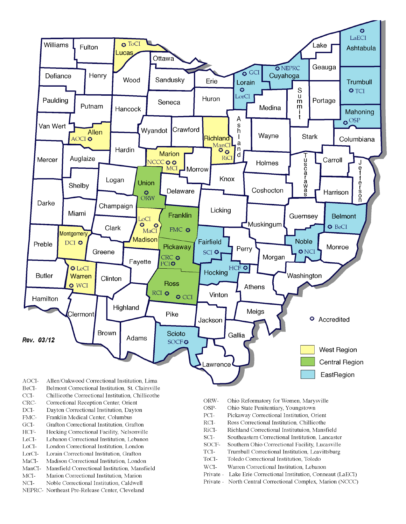

- BeCI-Belmont Correctional Institution, St. Clairsville
- $CCI-$ Chillicothe Correctional Institution, Chillicothe
- Correctional Reception Center, Orient CRC-
- $DCI-$ Dayton Correctional Institution, Dayton
- FMC-Franklin Medical Center, Columbus
- $\rm{GCI}\mbox{-}$ Grafton Correctional Institution, Grafton
- HCF-Hocking Correctional Facility, Nelsonville
- LeCI-Lebanon Correctional Institution, Lebanon
- LoCI-London Correctional Institution. London
- $\operatorname{LorCl-}$ Lorain Correctional Institution, Grafton
- $MaCI-$ Madison Correctional Institution, London
- ManCI-Mansfield Correctional Institution, Mansfield MCI-Marion Correctional Institution, Marion
- Noble Correctional Institution, Caldwell
- NCI-NEPRC- Northeast Pre-Release Center, Cleveland
- ORW-Ohio Reformatory for Women, Marysville
- OSP-Ohio State Penitentiary, Youngstown
- PCI-Pickaway Correctional Institution, Orient
- $\rm RCI-$ Ross Correctional Institution, Chillicothe
- RiCI-Richland Correctional Institutuion, Mansfield
- SCI-Southeastern Correctional Institution, Lancaster
- SOCF-Southern Ohio Correctional Facility, Lucasville
- TCI-Trumbull Correctional Institution, Leavittsburg
- ToCI-Toledo Correctional Institution, Toledo
- $WCI-$ Warren Correctional Institution, Lebanon
- Private Lake Erie Correctional Institution, Conneaut (LaECI)
- Private North Central Correctional Complex, Marion (NCCC)